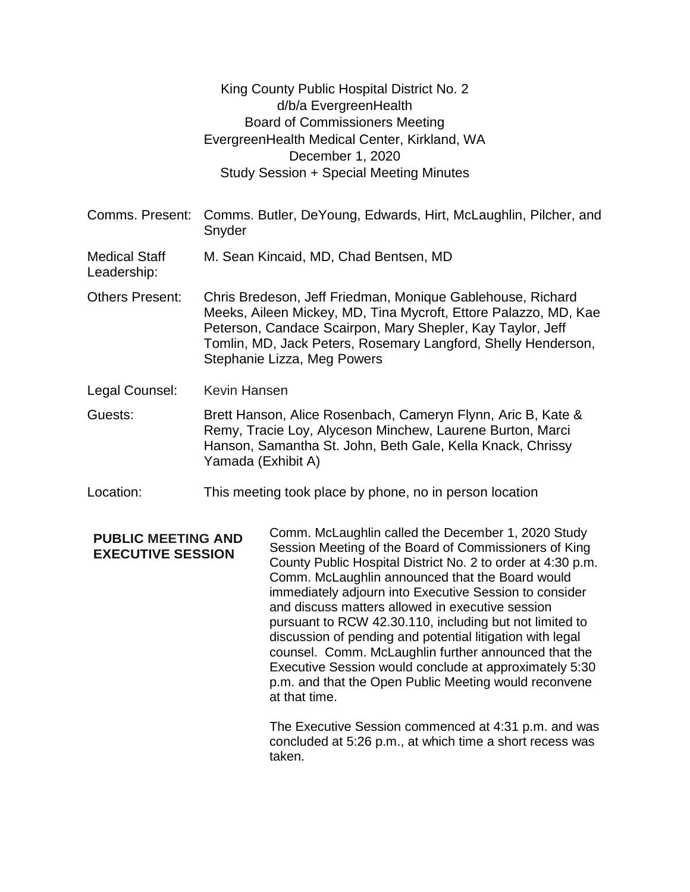|                                                       |                                                                                                                                                                                                                                                                                             | King County Public Hospital District No. 2<br>d/b/a EvergreenHealth<br><b>Board of Commissioners Meeting</b><br>EvergreenHealth Medical Center, Kirkland, WA<br>December 1, 2020<br>Study Session + Special Meeting Minutes                                                                                                                                                                                                                                                                                                 |  |
|-------------------------------------------------------|---------------------------------------------------------------------------------------------------------------------------------------------------------------------------------------------------------------------------------------------------------------------------------------------|-----------------------------------------------------------------------------------------------------------------------------------------------------------------------------------------------------------------------------------------------------------------------------------------------------------------------------------------------------------------------------------------------------------------------------------------------------------------------------------------------------------------------------|--|
| Comms. Present:                                       | Comms. Butler, DeYoung, Edwards, Hirt, McLaughlin, Pilcher, and<br>Snyder                                                                                                                                                                                                                   |                                                                                                                                                                                                                                                                                                                                                                                                                                                                                                                             |  |
| <b>Medical Staff</b><br>Leadership:                   | M. Sean Kincaid, MD, Chad Bentsen, MD                                                                                                                                                                                                                                                       |                                                                                                                                                                                                                                                                                                                                                                                                                                                                                                                             |  |
| <b>Others Present:</b>                                | Chris Bredeson, Jeff Friedman, Monique Gablehouse, Richard<br>Meeks, Aileen Mickey, MD, Tina Mycroft, Ettore Palazzo, MD, Kae<br>Peterson, Candace Scairpon, Mary Shepler, Kay Taylor, Jeff<br>Tomlin, MD, Jack Peters, Rosemary Langford, Shelly Henderson,<br>Stephanie Lizza, Meg Powers |                                                                                                                                                                                                                                                                                                                                                                                                                                                                                                                             |  |
| Legal Counsel:                                        | Kevin Hansen                                                                                                                                                                                                                                                                                |                                                                                                                                                                                                                                                                                                                                                                                                                                                                                                                             |  |
| Guests:                                               | Brett Hanson, Alice Rosenbach, Cameryn Flynn, Aric B, Kate &<br>Remy, Tracie Loy, Alyceson Minchew, Laurene Burton, Marci<br>Hanson, Samantha St. John, Beth Gale, Kella Knack, Chrissy<br>Yamada (Exhibit A)                                                                               |                                                                                                                                                                                                                                                                                                                                                                                                                                                                                                                             |  |
| Location:                                             | This meeting took place by phone, no in person location                                                                                                                                                                                                                                     |                                                                                                                                                                                                                                                                                                                                                                                                                                                                                                                             |  |
| <b>PUBLIC MEETING AND</b><br><b>EXECUTIVE SESSION</b> |                                                                                                                                                                                                                                                                                             | Comm. McLaughlin called the December 1, 2020 Study<br>Session Meeting of the Board of Commissioners of King<br>County Public Hospital District No. 2 to order at 4:30 p.m.<br>Comm. McLaughlin announced that the Board would<br>immediately adjourn into Executive Session to consider<br>and discuss matters allowed in executive session<br>pursuant to RCW 42.30.110, including but not limited to<br>discussion of pending and potential litigation with legal<br>counsel. Comm. McLaughlin further announced that the |  |

Executive Session would conclude at approximately 5:30 p.m. and that the Open Public Meeting would reconvene at that time.

The Executive Session commenced at 4:31 p.m. and was concluded at 5:26 p.m., at which time a short recess was taken.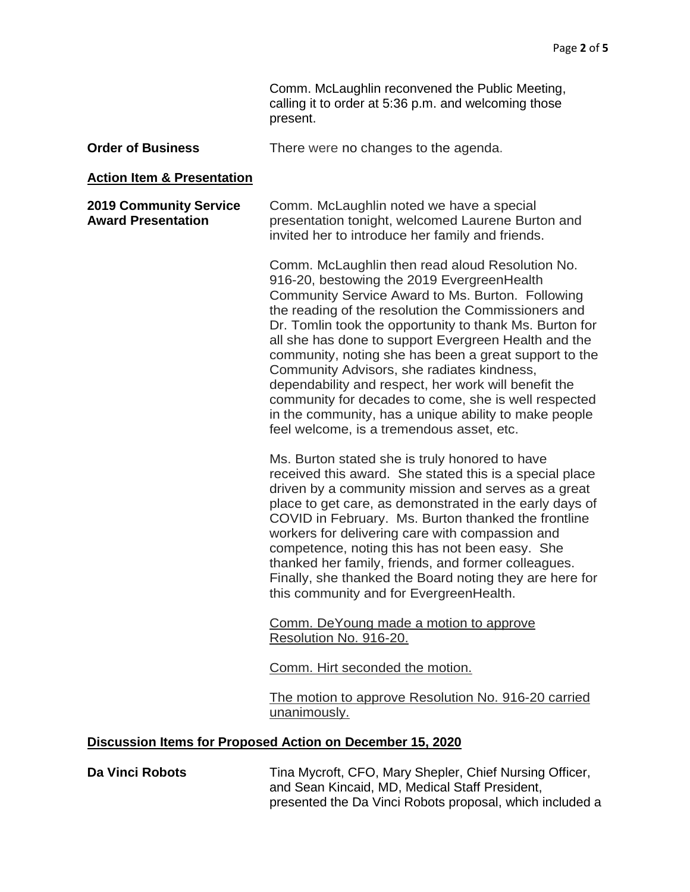Comm. McLaughlin reconvened the Public Meeting, calling it to order at 5:36 p.m. and welcoming those present.

| <b>Order of Business</b> | There were no changes to the agenda. |
|--------------------------|--------------------------------------|
|--------------------------|--------------------------------------|

#### **Action Item & Presentation**

**2019 Community Service Award Presentation** Comm. McLaughlin noted we have a special presentation tonight, welcomed Laurene Burton and invited her to introduce her family and friends.

> Comm. McLaughlin then read aloud Resolution No. 916-20, bestowing the 2019 EvergreenHealth Community Service Award to Ms. Burton. Following the reading of the resolution the Commissioners and Dr. Tomlin took the opportunity to thank Ms. Burton for all she has done to support Evergreen Health and the community, noting she has been a great support to the Community Advisors, she radiates kindness, dependability and respect, her work will benefit the community for decades to come, she is well respected in the community, has a unique ability to make people feel welcome, is a tremendous asset, etc.

> Ms. Burton stated she is truly honored to have received this award. She stated this is a special place driven by a community mission and serves as a great place to get care, as demonstrated in the early days of COVID in February. Ms. Burton thanked the frontline workers for delivering care with compassion and competence, noting this has not been easy. She thanked her family, friends, and former colleagues. Finally, she thanked the Board noting they are here for this community and for EvergreenHealth.

Comm. DeYoung made a motion to approve Resolution No. 916-20.

Comm. Hirt seconded the motion.

The motion to approve Resolution No. 916-20 carried unanimously.

#### **Discussion Items for Proposed Action on December 15, 2020**

**Da Vinci Robots** Tina Mycroft, CFO, Mary Shepler, Chief Nursing Officer, and Sean Kincaid, MD, Medical Staff President, presented the Da Vinci Robots proposal, which included a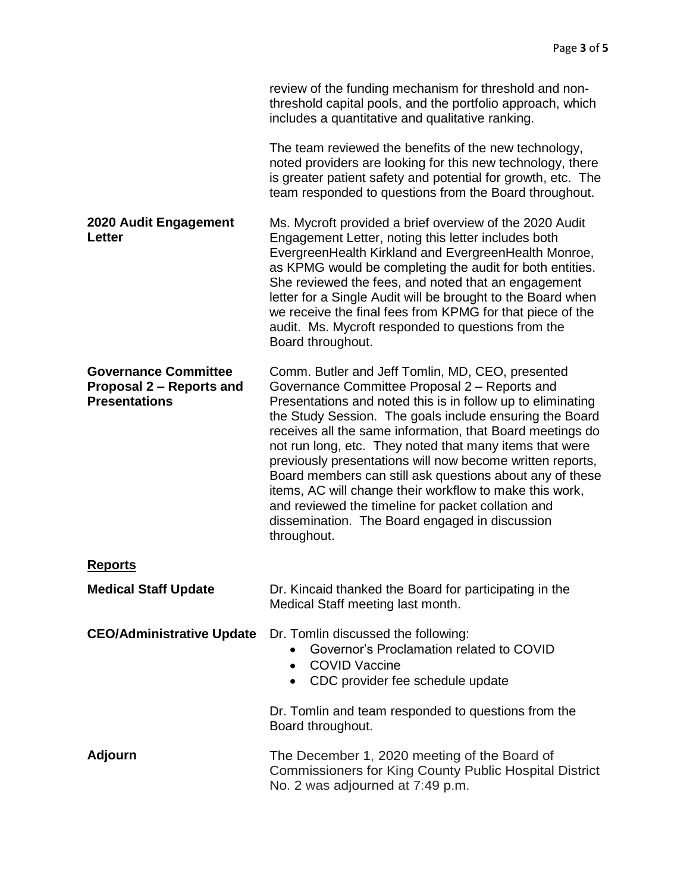|                                                                                 | review of the funding mechanism for threshold and non-<br>threshold capital pools, and the portfolio approach, which<br>includes a quantitative and qualitative ranking.                                                                                                                                                                                                                                                                                                                                                                                                                                                                                       |
|---------------------------------------------------------------------------------|----------------------------------------------------------------------------------------------------------------------------------------------------------------------------------------------------------------------------------------------------------------------------------------------------------------------------------------------------------------------------------------------------------------------------------------------------------------------------------------------------------------------------------------------------------------------------------------------------------------------------------------------------------------|
|                                                                                 | The team reviewed the benefits of the new technology,<br>noted providers are looking for this new technology, there<br>is greater patient safety and potential for growth, etc. The<br>team responded to questions from the Board throughout.                                                                                                                                                                                                                                                                                                                                                                                                                  |
| 2020 Audit Engagement<br>Letter                                                 | Ms. Mycroft provided a brief overview of the 2020 Audit<br>Engagement Letter, noting this letter includes both<br>EvergreenHealth Kirkland and EvergreenHealth Monroe,<br>as KPMG would be completing the audit for both entities.<br>She reviewed the fees, and noted that an engagement<br>letter for a Single Audit will be brought to the Board when<br>we receive the final fees from KPMG for that piece of the<br>audit. Ms. Mycroft responded to questions from the<br>Board throughout.                                                                                                                                                               |
| <b>Governance Committee</b><br>Proposal 2 – Reports and<br><b>Presentations</b> | Comm. Butler and Jeff Tomlin, MD, CEO, presented<br>Governance Committee Proposal 2 - Reports and<br>Presentations and noted this is in follow up to eliminating<br>the Study Session. The goals include ensuring the Board<br>receives all the same information, that Board meetings do<br>not run long, etc. They noted that many items that were<br>previously presentations will now become written reports,<br>Board members can still ask questions about any of these<br>items, AC will change their workflow to make this work,<br>and reviewed the timeline for packet collation and<br>dissemination. The Board engaged in discussion<br>throughout. |
| <b>Reports</b>                                                                  |                                                                                                                                                                                                                                                                                                                                                                                                                                                                                                                                                                                                                                                                |
| <b>Medical Staff Update</b>                                                     | Dr. Kincaid thanked the Board for participating in the<br>Medical Staff meeting last month.                                                                                                                                                                                                                                                                                                                                                                                                                                                                                                                                                                    |
| <b>CEO/Administrative Update</b>                                                | Dr. Tomlin discussed the following:<br>Governor's Proclamation related to COVID<br><b>COVID Vaccine</b><br>$\bullet$<br>CDC provider fee schedule update<br>$\bullet$                                                                                                                                                                                                                                                                                                                                                                                                                                                                                          |
|                                                                                 | Dr. Tomlin and team responded to questions from the<br>Board throughout.                                                                                                                                                                                                                                                                                                                                                                                                                                                                                                                                                                                       |
| <b>Adjourn</b>                                                                  | The December 1, 2020 meeting of the Board of<br><b>Commissioners for King County Public Hospital District</b><br>No. 2 was adjourned at 7:49 p.m.                                                                                                                                                                                                                                                                                                                                                                                                                                                                                                              |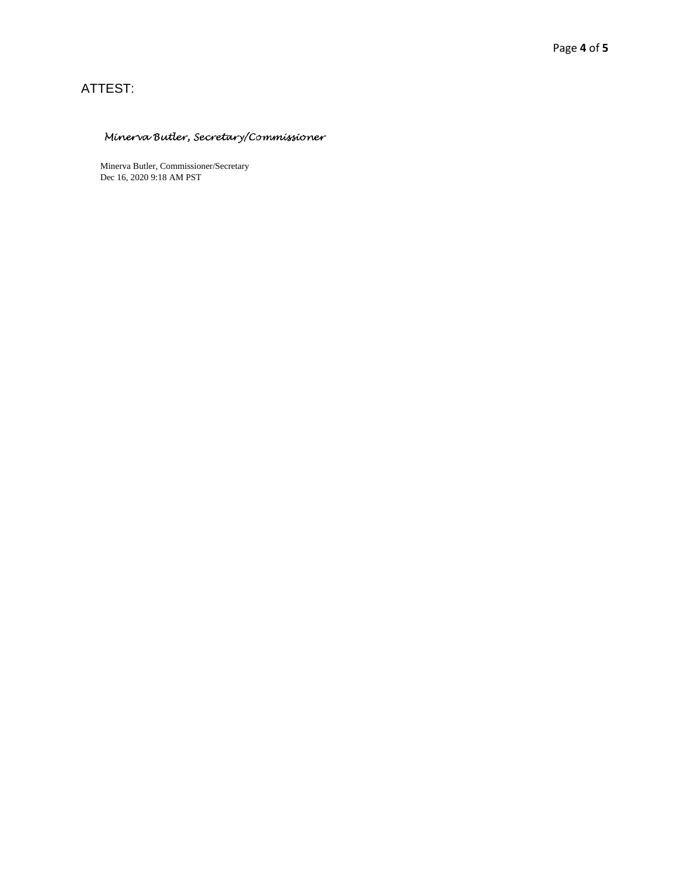# ATTEST:

### Minerva Butler, Secretary/Commissioner

Minerva Butler, Commissioner/Secretary Dec 16, 2020 9:18 AM PST